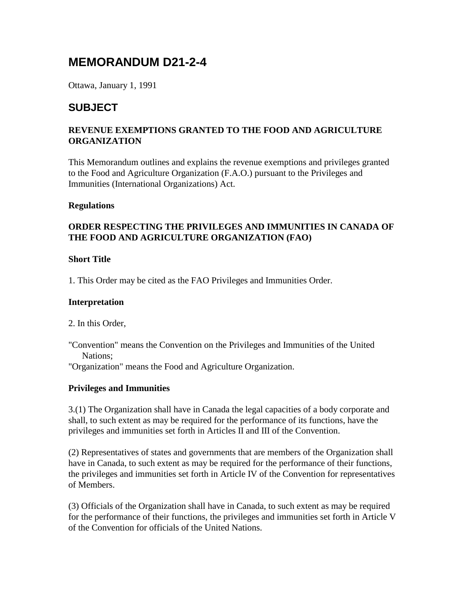# **MEMORANDUM D21-2-4**

Ottawa, January 1, 1991

# **SUBJECT**

#### **REVENUE EXEMPTIONS GRANTED TO THE FOOD AND AGRICULTURE ORGANIZATION**

This Memorandum outlines and explains the revenue exemptions and privileges granted to the Food and Agriculture Organization (F.A.O.) pursuant to the Privileges and Immunities (International Organizations) Act.

#### **Regulations**

#### **ORDER RESPECTING THE PRIVILEGES AND IMMUNITIES IN CANADA OF THE FOOD AND AGRICULTURE ORGANIZATION (FAO)**

#### **Short Title**

1. This Order may be cited as the FAO Privileges and Immunities Order.

#### **Interpretation**

2. In this Order,

"Convention" means the Convention on the Privileges and Immunities of the United Nations;

"Organization" means the Food and Agriculture Organization.

#### **Privileges and Immunities**

3.(1) The Organization shall have in Canada the legal capacities of a body corporate and shall, to such extent as may be required for the performance of its functions, have the privileges and immunities set forth in Articles II and III of the Convention.

(2) Representatives of states and governments that are members of the Organization shall have in Canada, to such extent as may be required for the performance of their functions, the privileges and immunities set forth in Article IV of the Convention for representatives of Members.

(3) Officials of the Organization shall have in Canada, to such extent as may be required for the performance of their functions, the privileges and immunities set forth in Article V of the Convention for officials of the United Nations.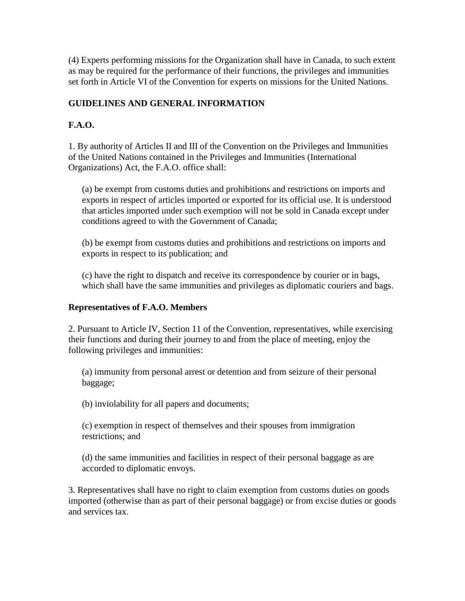(4) Experts performing missions for the Organization shall have in Canada, to such extent as may be required for the performance of their functions, the privileges and immunities set forth in Article VI of the Convention for experts on missions for the United Nations.

## **GUIDELINES AND GENERAL INFORMATION**

## **F.A.O.**

1. By authority of Articles II and III of the Convention on the Privileges and Immunities of the United Nations contained in the Privileges and Immunities (International Organizations) Act, the F.A.O. office shall:

(a) be exempt from customs duties and prohibitions and restrictions on imports and exports in respect of articles imported or exported for its official use. It is understood that articles imported under such exemption will not be sold in Canada except under conditions agreed to with the Government of Canada;

(b) be exempt from customs duties and prohibitions and restrictions on imports and exports in respect to its publication; and

(c) have the right to dispatch and receive its correspondence by courier or in bags, which shall have the same immunities and privileges as diplomatic couriers and bags.

#### **Representatives of F.A.O. Members**

2. Pursuant to Article IV, Section 11 of the Convention, representatives, while exercising their functions and during their journey to and from the place of meeting, enjoy the following privileges and immunities:

(a) immunity from personal arrest or detention and from seizure of their personal baggage;

(b) inviolability for all papers and documents;

(c) exemption in respect of themselves and their spouses from immigration restrictions; and

(d) the same immunities and facilities in respect of their personal baggage as are accorded to diplomatic envoys.

3. Representatives shall have no right to claim exemption from customs duties on goods imported (otherwise than as part of their personal baggage) or from excise duties or goods and services tax.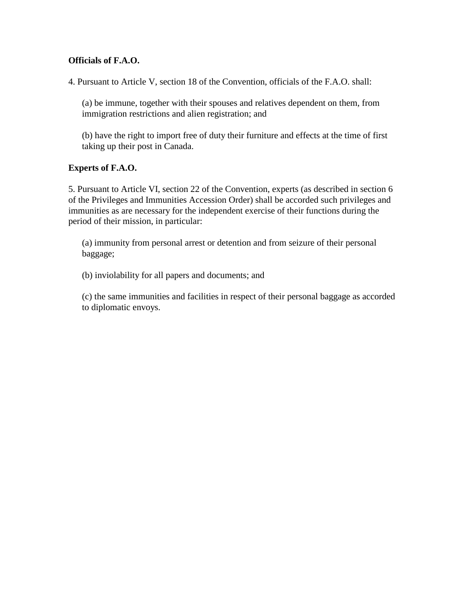#### **Officials of F.A.O.**

4. Pursuant to Article V, section 18 of the Convention, officials of the F.A.O. shall:

(a) be immune, together with their spouses and relatives dependent on them, from immigration restrictions and alien registration; and

(b) have the right to import free of duty their furniture and effects at the time of first taking up their post in Canada.

#### **Experts of F.A.O.**

5. Pursuant to Article VI, section 22 of the Convention, experts (as described in section 6 of the Privileges and Immunities Accession Order) shall be accorded such privileges and immunities as are necessary for the independent exercise of their functions during the period of their mission, in particular:

(a) immunity from personal arrest or detention and from seizure of their personal baggage;

(b) inviolability for all papers and documents; and

(c) the same immunities and facilities in respect of their personal baggage as accorded to diplomatic envoys.